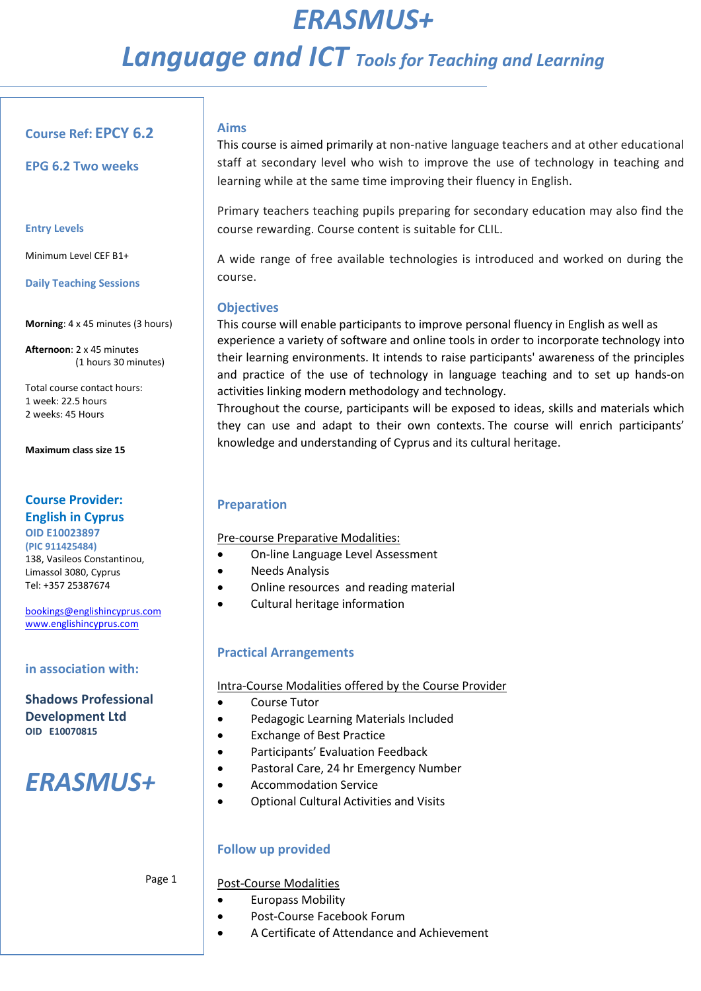# *ERASMUS+ Language and ICT Tools for Teaching and Learning*

## **Course Ref: EPCY 6.2**

**EPG 6.2 Two weeks**

### **Entry Levels**

Minimum Level CEF B1+

**Daily Teaching Sessions**

**Morning**: 4 x 45 minutes (3 hours)

**Afternoon**: 2 x 45 minutes (1 hours 30 minutes)

Total course contact hours: 1 week: 22.5 hours 2 weeks: 45 Hours

**Maximum class size 15**

## **Course Provider: English in Cyprus**

**OID E10023897 (PIC 911425484)**  138, Vasileos Constantinou, Limassol 3080, Cyprus Tel: +357 25387674

[bookings@englishincyprus.com](mailto:bookings@englishincyprus.com)  [www.englishincyprus.com](http://www.englishincyprus.com/) 

### **in association with:**

**Shadows Professional Development Ltd OID E10070815**

# *ERASMUS+*

Page 1

### Post-Course Modalities

- Europass Mobility
- Post-Course Facebook Forum
- A Certificate of Attendance and Achievement

## **Aims**

This course is aimed primarily at non-native language teachers and at other educational staff at secondary level who wish to improve the use of technology in teaching and learning while at the same time improving their fluency in English.

Primary teachers teaching pupils preparing for secondary education may also find the course rewarding. Course content is suitable for CLIL.

A wide range of free available technologies is introduced and worked on during the course.

## **Objectives**

This course will enable participants to improve personal fluency in English as well as experience a variety of software and online tools in order to incorporate technology into their learning environments. It intends to raise participants' awareness of the principles and practice of the use of technology in language teaching and to set up hands-on activities linking modern methodology and technology.

Throughout the course, participants will be exposed to ideas, skills and materials which they can use and adapt to their own contexts. The course will enrich participants' knowledge and understanding of Cyprus and its cultural heritage.

## **Preparation**

Pre-course Preparative Modalities:

- On-line Language Level Assessment
- Needs Analysis
- Online resources and reading material
- Cultural heritage information

## **Practical Arrangements**

Intra-Course Modalities offered by the Course Provider

- Course Tutor
- Pedagogic Learning Materials Included
- Exchange of Best Practice
- Participants' Evaluation Feedback
- Pastoral Care, 24 hr Emergency Number
- Accommodation Service
- Optional Cultural Activities and Visits

# **Follow up provided**